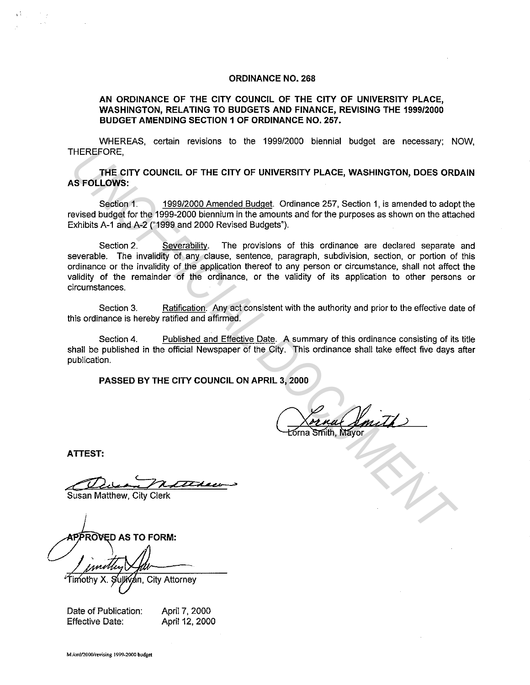## **ORDINANCE NO. 268**

**AN ORDINANCE OF THE CITY COUNCIL OF THE CITY OF UNIVERSITY PLACE, WASHINGTON, RELATING TO BUDGETS AND FINANCE, REVISING THE 1999/2000 BUDGET AMENDING SECTION 1 OF ORDINANCE NO. 257.** 

WHEREAS, certain revisions to the 1999/2000 biennial budget are necessary; NOW, THEREFORE,

**THE CITY COUNCIL OF THE CITY OF UNIVERSITY PLACE, WASHINGTON, DOES ORDAIN AS FOLLOWS:** 

Section 1. 1999/2000 Amended Budget. Ordinance 257, Section 1, is amended to adopt the revised budget for the 1999-2000 biennium in the amounts and for the purposes as shown on the attached Exhibits A-1 and A-2 ("1999 and 2000 Revised Budgets").

Section 2. Severability. The provisions of this ordinance are declared separate and severable. The invalidity of any clause, sentence, paragraph, subdivision, section, or portion of this ordinance or the invalidity of the application thereof to any person or circumstance, shall not affect the validity of the remainder of the ordinance, or the validity of its application to other persons or circumstances. **THEREFORE**<br> **UNE CITY COUNCIL OF THE CITY OF UNIVERSITY PLACE, WASHINGTON, DOES ORE<br>
Section 1. 1999/2000 Amended Budget, Ordinance 257, Section 1, is amended to adopted budget<br>
Section 2. Severability. The provisions of** 

Section 3. Ratification. Any act consistent with the authority and prior to the effective date of this ordinance is hereby ratified and affirmed.

Section 4. Published and Effective Date. A summary of this ordinance consisting of its title shall be published in the official Newspaper of the City. This ordinance shall take effect five days after publication.

**PASSED BY THE CITY COUNCIL ON APRIL 3, 2000** 

**ATTEST:** 

**Duen Matthews** 

Susan Matthew, City Clerk

**City Attorney** 

Date of Publication: Effective Date:

April 7, 2000 April 12, 2000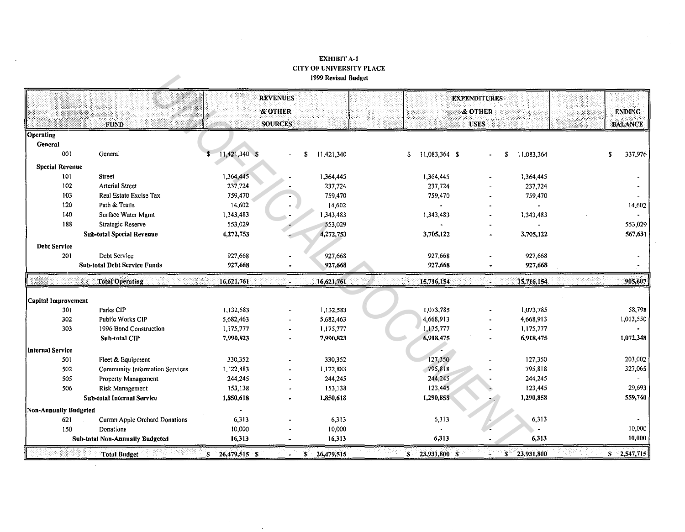## **EXHIBIT A-1 CITY OF UNIVERSITY PLACE** 1999 Revised Budget

|                              |                                        |                       | <b>REVENUES</b> |                  |                      | <b>EXPENDITURES</b> |                  |               |
|------------------------------|----------------------------------------|-----------------------|-----------------|------------------|----------------------|---------------------|------------------|---------------|
|                              |                                        | & OTHER               |                 | & OTHER          |                      |                     | <b>ENDING</b>    |               |
|                              | <b>FUND</b>                            | <b>SOURCES</b>        |                 |                  |                      | <b>USES</b>         |                  |               |
| Operating                    |                                        |                       |                 |                  |                      |                     |                  |               |
| General                      |                                        |                       |                 |                  |                      |                     |                  |               |
| 001                          | General                                | $11,421,340$ \$<br>\$ | s               | 11,421,340       | 11,083,364 \$<br>\$. |                     | \$<br>11,083,364 | 337,976<br>S  |
| <b>Special Revenue</b>       |                                        |                       |                 |                  |                      |                     |                  |               |
| 101                          | <b>Street</b>                          | 1,364,445             |                 | 1,364,445        | 1,364,445            |                     | 1,364,445        |               |
| 102                          | <b>Arterial Street</b>                 | 237,724               |                 | 237,724          | 237,724              |                     | 237,724          |               |
| 103                          | Real Estate Excise Tax                 | 759,470               |                 | 759,470          | 759,470              |                     | 759,470          |               |
| 120                          | Path & Trails                          | 14,602                |                 | 14,602           |                      |                     |                  | 14,602        |
| 140                          | Surface Water Mgmt                     | 1,343,483             |                 | 1,343,483        | 1,343,483            |                     | 1,343,483        |               |
| 188                          | <b>Strategic Reserve</b>               | 553,029               |                 | 553,029          |                      |                     |                  | 553,029       |
|                              | <b>Sub-total Special Revenue</b>       | 4,272,753             |                 | 4,272,753        | 3,705,122            |                     | 3,705,122        | 567,631       |
| <b>Debt Service</b>          |                                        |                       |                 |                  |                      |                     |                  |               |
| 201                          | Debt Service                           | 927,668               |                 | 927,668          | 927,668              |                     | 927,668          |               |
|                              | <b>Sub-total Debt Service Funds</b>    | 927,668               |                 | 927,668          | 927,668              |                     | 927,668          |               |
|                              | <b>Total Operating</b>                 | 16,621,761            | V.              | 16,621,761       | 15,716,154           | 62.                 | 15,716,154       | 905,607       |
|                              |                                        |                       |                 |                  |                      |                     |                  |               |
| Capital Improvement          |                                        |                       |                 |                  |                      |                     |                  |               |
| 301                          | Parks CIP                              | 1,132,583             |                 | 1,132,583        | 1,073,785            |                     | 1,073,785        | 58,798        |
| 302                          | Public Works CIP                       | 5,682,463             |                 | 5,682,463        | 4,668,913            |                     | 4,668,913        | 1,013,550     |
| 303                          | 1996 Bond Construction                 | 1,175,777             |                 | 1,175,777        | 1,175,777            |                     | 1,175,777        |               |
|                              | Sub-total CIP                          | 7,990,823             |                 | 7,990,823        | 6,918,475            |                     | 6,918,475        | 1,072,348     |
| Internal Service             |                                        |                       |                 |                  |                      |                     |                  |               |
| 501                          | Fleet & Equipment                      | 330,352               |                 | 330,352          | 127,350              |                     | 127,350          | 203,002       |
| 502                          | Community Information Services         | 1,122,883             |                 | 1,122,883        | 795,818              |                     | 795.818          | 327,065       |
| 505                          | Property Management                    | 244,245               |                 | 244,245          | 244,245              |                     | 244,245          |               |
| 506                          | <b>Risk Management</b>                 | 153,138               |                 | 153,138          | 123,445              |                     | 123,445          | 29,693        |
|                              | <b>Sub-total Internal Service</b>      | 1,850,618             |                 | 1,850,618        | 1,290,858            |                     | 1,290,858        | 559,760       |
| <b>Non-Annually Budgeted</b> |                                        |                       |                 |                  |                      |                     |                  |               |
| 621                          | Curran Apple Orchard Donations         | 6,313                 |                 | 6,313            | 6,313                |                     | 6,313            |               |
| 150                          | Donations                              | 10,000                |                 | 10,000           |                      |                     |                  | 10,000        |
|                              | <b>Sub-total Non-Annually Budgeted</b> | 16,313                |                 | 16,313           | 6,313                |                     | 6,313            | 10,000        |
|                              | 비밀 대통령 변경<br><b>Total Budget</b>       | $S = 26,479,515$ S    | ۔ ا             | S.<br>26,479,515 | $S = 23,931,800$ S   |                     | \$23,931,800     | $$-2,547,715$ |